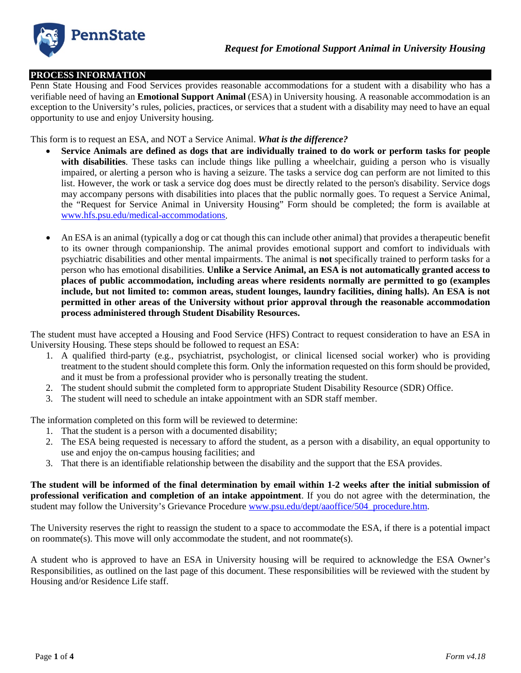

# **PROCESS INFORMATION**

Penn State Housing and Food Services provides reasonable accommodations for a student with a disability who has a verifiable need of having an **Emotional Support Animal** (ESA) in University housing. A reasonable accommodation is an exception to the University's rules, policies, practices, or services that a student with a disability may need to have an equal opportunity to use and enjoy University housing.

This form is to request an ESA, and NOT a Service Animal. *What is the difference?*

- **Service Animals are defined as dogs that are individually trained to do work or perform tasks for people with disabilities**. These tasks can include things like pulling a wheelchair, guiding a person who is visually impaired, or alerting a person who is having a seizure. The tasks a service dog can perform are not limited to this list. However, the work or task a service dog does must be directly related to the person's disability. Service dogs may accompany persons with disabilities into places that the public normally goes. To request a Service Animal, the "Request for Service Animal in University Housing" Form should be completed; the form is available at [www.hfs.psu.edu/medical-accommodations.](http://www.hfs.psu.edu/medical-accommodations)
- An ESA is an animal (typically a dog or cat though this can include other animal) that provides a therapeutic benefit to its owner through companionship. The animal provides emotional support and comfort to individuals with psychiatric disabilities and other mental impairments. The animal is **not** specifically trained to perform tasks for a person who has emotional disabilities. **Unlike a Service Animal, an ESA is not automatically granted access to places of public accommodation, including areas where residents normally are permitted to go (examples include, but not limited to: common areas, student lounges, laundry facilities, dining halls). An ESA is not permitted in other areas of the University without prior approval through the reasonable accommodation process administered through Student Disability Resources.**

The student must have accepted a Housing and Food Service (HFS) Contract to request consideration to have an ESA in University Housing. These steps should be followed to request an ESA:

- 1. A qualified third-party (e.g., psychiatrist, psychologist, or clinical licensed social worker) who is providing treatment to the student should complete this form. Only the information requested on this form should be provided, and it must be from a professional provider who is personally treating the student.
- 2. The student should submit the completed form to appropriate Student Disability Resource (SDR) Office.
- 3. The student will need to schedule an intake appointment with an SDR staff member.

The information completed on this form will be reviewed to determine:

- 1. That the student is a person with a documented disability;
- 2. The ESA being requested is necessary to afford the student, as a person with a disability, an equal opportunity to use and enjoy the on-campus housing facilities; and
- 3. That there is an identifiable relationship between the disability and the support that the ESA provides.

**The student will be informed of the final determination by email within 1-2 weeks after the initial submission of professional verification and completion of an intake appointment**. If you do not agree with the determination, the student may follow the University's Grievance Procedure www.psu.edu/dept/aaoffice/504 procedure.htm.

The University reserves the right to reassign the student to a space to accommodate the ESA, if there is a potential impact on roommate(s). This move will only accommodate the student, and not roommate(s).

A student who is approved to have an ESA in University housing will be required to acknowledge the ESA Owner's Responsibilities, as outlined on the last page of this document. These responsibilities will be reviewed with the student by Housing and/or Residence Life staff.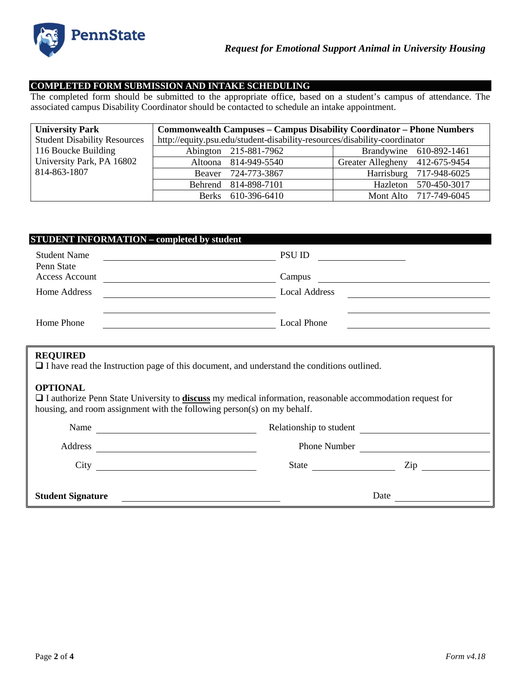

## **COMPLETED FORM SUBMISSION AND INTAKE SCHEDULING**

The completed form should be submitted to the appropriate office, based on a student's campus of attendance. The associated campus Disability Coordinator should be contacted to schedule an intake appointment.

| <b>University Park</b>              | <b>Commonwealth Campuses – Campus Disability Coordinator – Phone Numbers</b> |                       |                                |                         |
|-------------------------------------|------------------------------------------------------------------------------|-----------------------|--------------------------------|-------------------------|
| <b>Student Disability Resources</b> | http://equity.psu.edu/student-disability-resources/disability-coordinator    |                       |                                |                         |
| 116 Boucke Building                 |                                                                              | Abington 215-881-7962 |                                | Brandywine 610-892-1461 |
| University Park, PA 16802           |                                                                              | Altoona 814-949-5540  | Greater Allegheny 412-675-9454 |                         |
| 814-863-1807                        |                                                                              | Beaver 724-773-3867   |                                | Harrisburg 717-948-6025 |
|                                     |                                                                              | Behrend 814-898-7101  |                                | Hazleton 570-450-3017   |
|                                     | Berks                                                                        | 610-396-6410          |                                | Mont Alto 717-749-6045  |

| <b>STUDENT INFORMATION - completed by student</b> |                      |  |
|---------------------------------------------------|----------------------|--|
| <b>Student Name</b><br>Penn State                 | <b>PSU ID</b>        |  |
| <b>Access Account</b>                             | Campus               |  |
| Home Address                                      | <b>Local Address</b> |  |
| Home Phone                                        | Local Phone          |  |

### **REQUIRED**

I have read the Instruction page of this document, and understand the conditions outlined.

#### **OPTIONAL**

 I authorize Penn State University to **discuss** my medical information, reasonable accommodation request for housing, and room assignment with the following person(s) on my behalf.

| Name                     | Relationship to student |      |  |
|--------------------------|-------------------------|------|--|
| Address                  | <b>Phone Number</b>     |      |  |
| City                     | State                   | Zin  |  |
| <b>Student Signature</b> |                         | Date |  |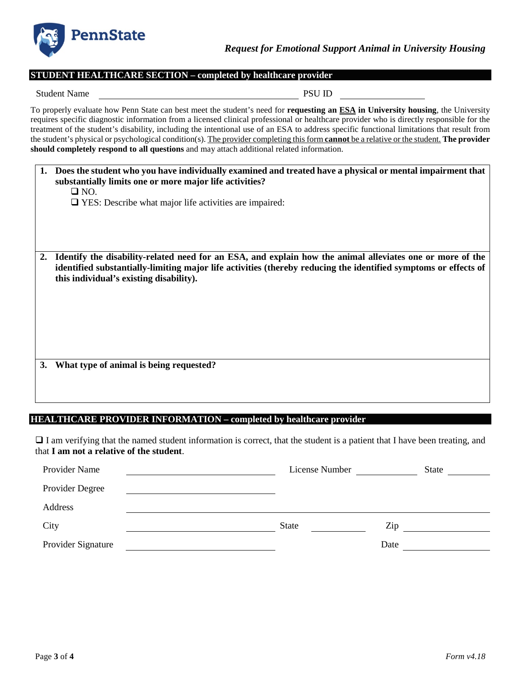

#### **STUDENT HEALTHCARE SECTION – completed by healthcare provider**

| <b>Student Name</b> | <b>PSU ID</b> |
|---------------------|---------------|
|                     |               |

To properly evaluate how Penn State can best meet the student's need for **requesting an ESA in University housing**, the University requires specific diagnostic information from a licensed clinical professional or healthcare provider who is directly responsible for the treatment of the student's disability, including the intentional use of an ESA to address specific functional limitations that result from the student's physical or psychological condition(s). The provider completing this form **cannot** be a relative or the student. **The provider should completely respond to all questions** and may attach additional related information.

# **1. Does the student who you have individually examined and treated have a physical or mental impairment that substantially limits one or more major life activities?**

| ×<br>۰. |
|---------|
|---------|

YES: Describe what major life activities are impaired:

**2. Identify the disability-related need for an ESA, and explain how the animal alleviates one or more of the identified substantially-limiting major life activities (thereby reducing the identified symptoms or effects of this individual's existing disability).**

**3. What type of animal is being requested?** 

### **HEALTHCARE PROVIDER INFORMATION – completed by healthcare provider**

 I am verifying that the named student information is correct, that the student is a patient that I have been treating, and that **I am not a relative of the student**.

| Provider Name      | License Number | State |
|--------------------|----------------|-------|
| Provider Degree    |                |       |
| Address            |                |       |
| City               | State          | Zip   |
| Provider Signature |                | Date  |